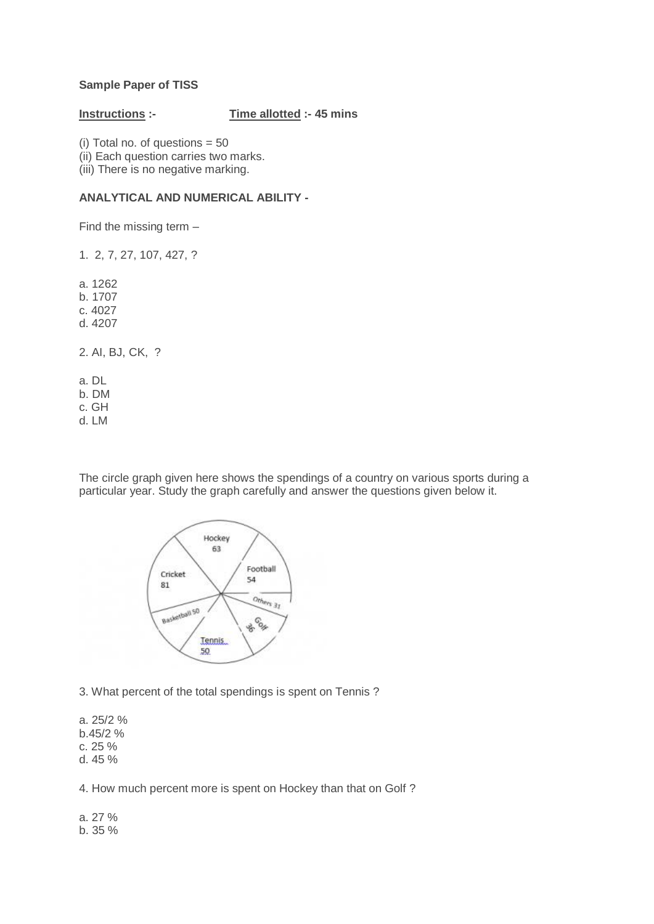## **Sample Paper of TISS**

### **Instructions :- Time allotted :- 45 mins**

(i) Total no. of questions  $= 50$ (ii) Each question carries two marks. (iii) There is no negative marking.

# **ANALYTICAL AND NUMERICAL ABILITY -**

Find the missing term –

1. 2, 7, 27, 107, 427, ?

a. 1262

- b. 1707
- c. 4027
- d. 4207

2. AI, BJ, CK, ?

a. DL

b. DM

c. GH

d. LM

The circle graph given here shows the spendings of a country on various sports during a particular year. Study the graph carefully and answer the questions given below it.



3. What percent of the total spendings is spent on Tennis ?

a. 25/2 %

b.45/2 %

c. 25 %

d. 45 %

4. How much percent more is spent on Hockey than that on Golf ?

a. 27 % b. 35 %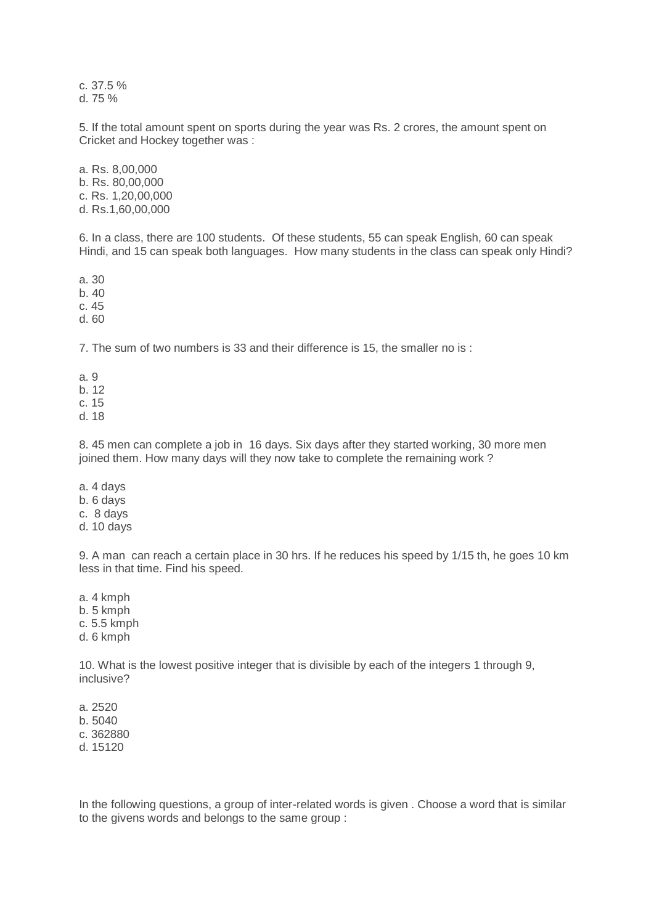c. 37.5 % d. 75 %

5. If the total amount spent on sports during the year was Rs. 2 crores, the amount spent on Cricket and Hockey together was :

a. Rs. 8,00,000 b. Rs. 80,00,000 c. Rs. 1,20,00,000 d. Rs.1,60,00,000

6. In a class, there are 100 students. Of these students, 55 can speak English, 60 can speak Hindi, and 15 can speak both languages. How many students in the class can speak only Hindi?

a. 30

b. 40

c. 45

d. 60

7. The sum of two numbers is 33 and their difference is 15, the smaller no is :

a. 9

b. 12

c. 15

d. 18

8. 45 men can complete a job in 16 days. Six days after they started working, 30 more men joined them. How many days will they now take to complete the remaining work ?

- a. 4 days
- b. 6 days
- c. 8 days
- d. 10 days

9. A man can reach a certain place in 30 hrs. If he reduces his speed by 1/15 th, he goes 10 km less in that time. Find his speed.

a. 4 kmph b. 5 kmph c. 5.5 kmph d. 6 kmph

10. What is the lowest positive integer that is divisible by each of the integers 1 through 9, inclusive?

a. 2520 b. 5040 c. 362880 d. 15120

In the following questions, a group of inter-related words is given . Choose a word that is similar to the givens words and belongs to the same group :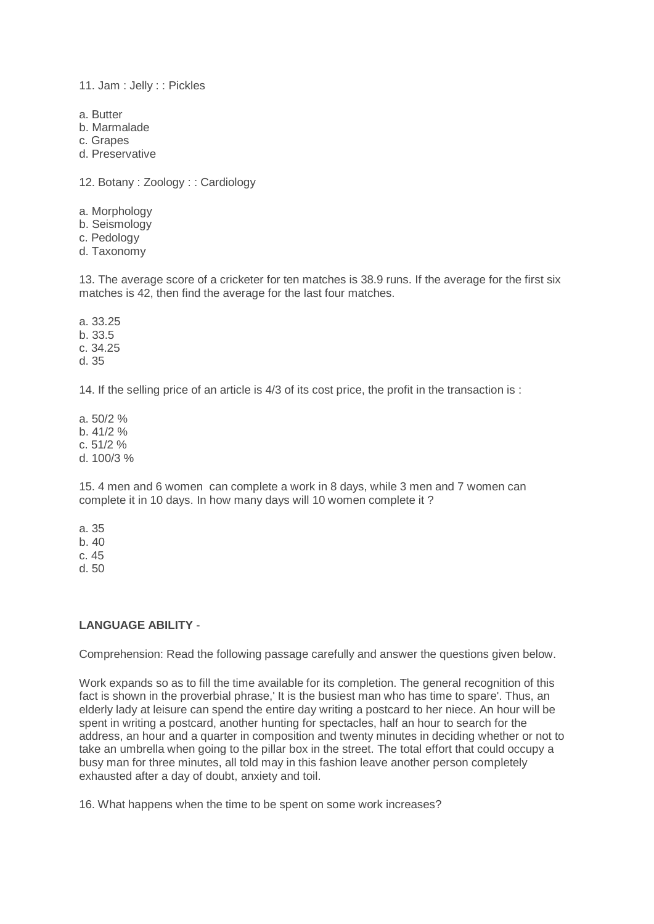11. Jam : Jelly : : Pickles

- a. Butter
- b. Marmalade
- c. Grapes
- d. Preservative

12. Botany : Zoology : : Cardiology

- a. Morphology
- b. Seismology
- c. Pedology
- d. Taxonomy

13. The average score of a cricketer for ten matches is 38.9 runs. If the average for the first six matches is 42, then find the average for the last four matches.

a. 33.25 b. 33.5 c. 34.25 d. 35

14. If the selling price of an article is 4/3 of its cost price, the profit in the transaction is :

a. 50/2 % b.  $41/2$ % c. 51/2 % d. 100/3 %

15. 4 men and 6 women can complete a work in 8 days, while 3 men and 7 women can complete it in 10 days. In how many days will 10 women complete it ?

a. 35 b. 40 c. 45

d. 50

## **LANGUAGE ABILITY** -

Comprehension: Read the following passage carefully and answer the questions given below.

Work expands so as to fill the time available for its completion. The general recognition of this fact is shown in the proverbial phrase,' It is the busiest man who has time to spare'. Thus, an elderly lady at leisure can spend the entire day writing a postcard to her niece. An hour will be spent in writing a postcard, another hunting for spectacles, half an hour to search for the address, an hour and a quarter in composition and twenty minutes in deciding whether or not to take an umbrella when going to the pillar box in the street. The total effort that could occupy a busy man for three minutes, all told may in this fashion leave another person completely exhausted after a day of doubt, anxiety and toil.

16. What happens when the time to be spent on some work increases?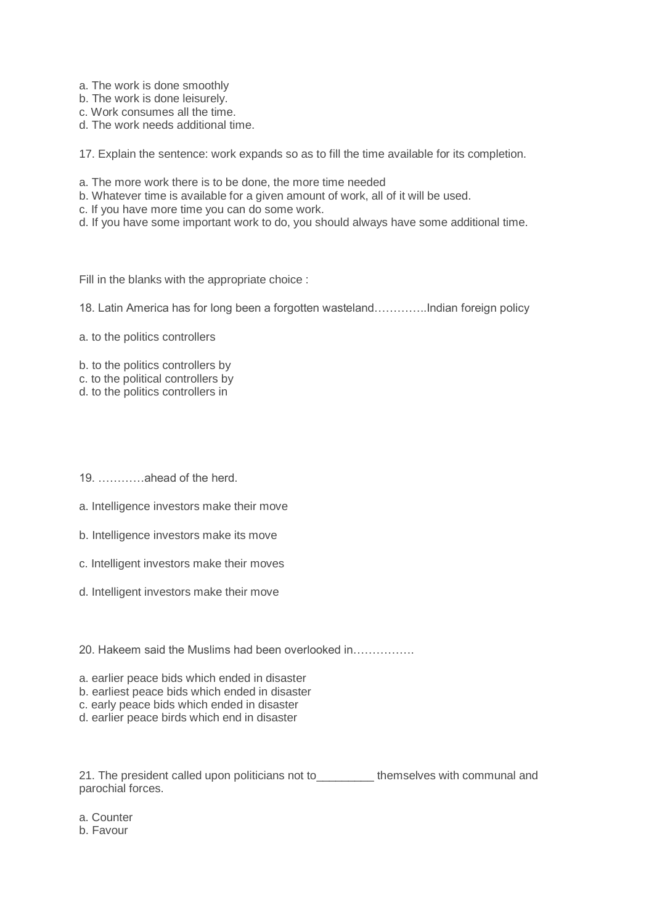- a. The work is done smoothly
- b. The work is done leisurely.
- c. Work consumes all the time.
- d. The work needs additional time.

17. Explain the sentence: work expands so as to fill the time available for its completion.

- a. The more work there is to be done, the more time needed
- b. Whatever time is available for a given amount of work, all of it will be used.
- c. If you have more time you can do some work.
- d. If you have some important work to do, you should always have some additional time.

Fill in the blanks with the appropriate choice :

18. Latin America has for long been a forgotten wasteland…………..Indian foreign policy

- a. to the politics controllers
- b. to the politics controllers by
- c. to the political controllers by
- d. to the politics controllers in
- 19. …………ahead of the herd.
- a. Intelligence investors make their move
- b. Intelligence investors make its move
- c. Intelligent investors make their moves
- d. Intelligent investors make their move
- 20. Hakeem said the Muslims had been overlooked in…………….
- a. earlier peace bids which ended in disaster
- b. earliest peace bids which ended in disaster
- c. early peace bids which ended in disaster
- d. earlier peace birds which end in disaster

21. The president called upon politicians not to themselves with communal and parochial forces.

a. Counter

b. Favour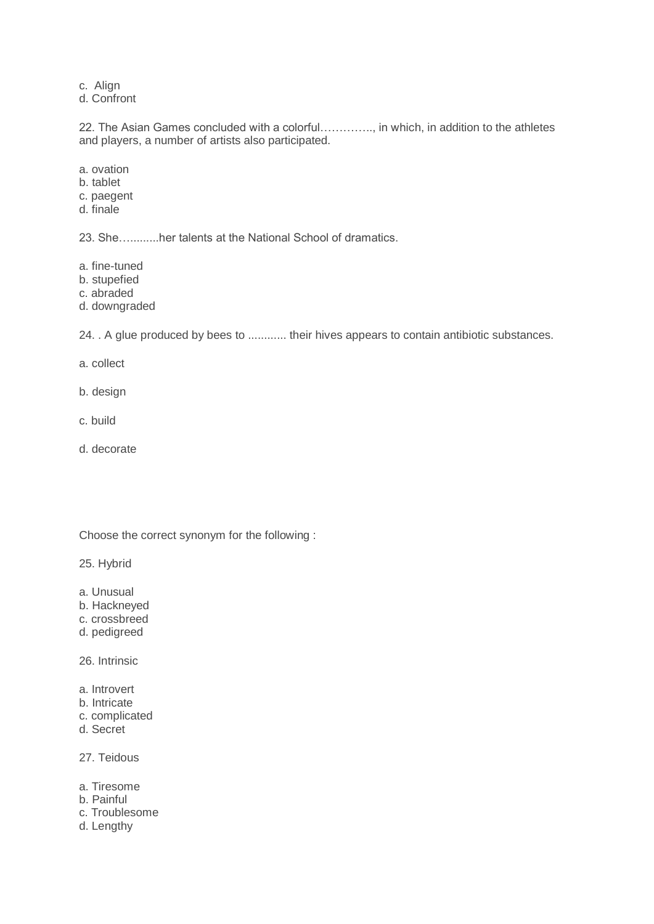c. Align

d. Confront

22. The Asian Games concluded with a colorful………….., in which, in addition to the athletes and players, a number of artists also participated.

- a. ovation
- b. tablet
- c. paegent
- d. finale

23. She….........her talents at the National School of dramatics.

- a. fine-tuned
- b. stupefied
- c. abraded
- d. downgraded

24. . A glue produced by bees to ............ their hives appears to contain antibiotic substances.

- a. collect
- b. design
- c. build
- d. decorate

Choose the correct synonym for the following :

25. Hybrid

- a. Unusual
- b. Hackneyed
- c. crossbreed
- d. pedigreed

26. Intrinsic

- a. Introvert
- b. Intricate
- c. complicated
- d. Secret

27. Teidous

- a. Tiresome
- b. Painful
- c. Troublesome
- d. Lengthy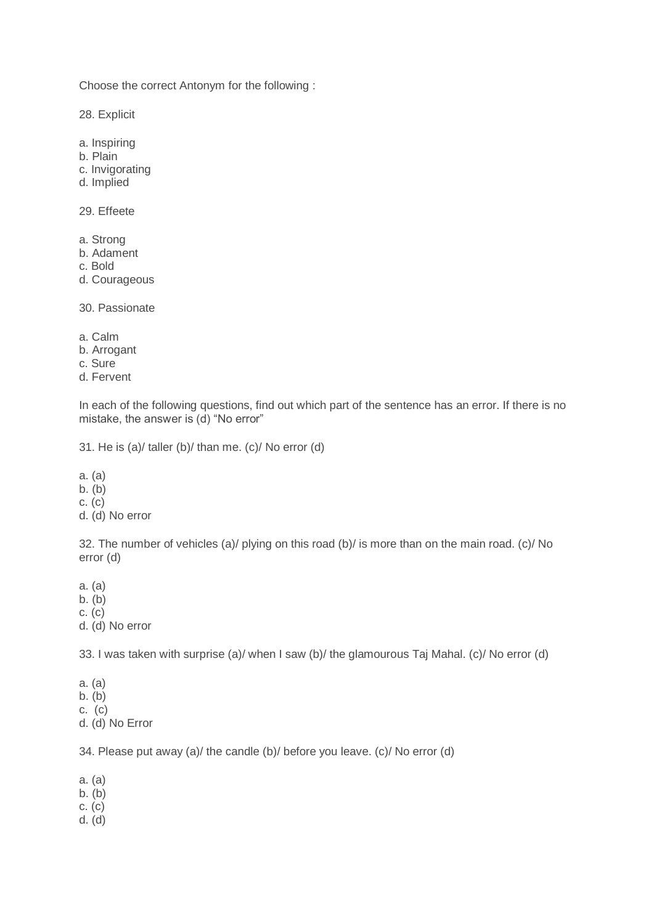Choose the correct Antonym for the following :

28. Explicit

- a. Inspiring
- b. Plain
- c. Invigorating
- d. Implied

29. Effeete

- a. Strong
- b. Adament
- c. Bold
- d. Courageous

30. Passionate

- a. Calm
- b. Arrogant
- c. Sure
- d. Fervent

In each of the following questions, find out which part of the sentence has an error. If there is no mistake, the answer is (d) "No error"

31. He is (a)/ taller (b)/ than me. (c)/ No error (d)

a. (a) b. (b) c. (c) d. (d) No error

32. The number of vehicles (a)/ plying on this road (b)/ is more than on the main road. (c)/ No error (d)

a. (a)

b. (b)

c. (c)

d. (d) No error

33. I was taken with surprise (a)/ when I saw (b)/ the glamourous Taj Mahal. (c)/ No error (d)

a. (a) b. (b) c. (c) d. (d) No Error

34. Please put away (a)/ the candle (b)/ before you leave. (c)/ No error (d)

a. (a)

 $b. (b)$ 

- c. (c)
- d. (d)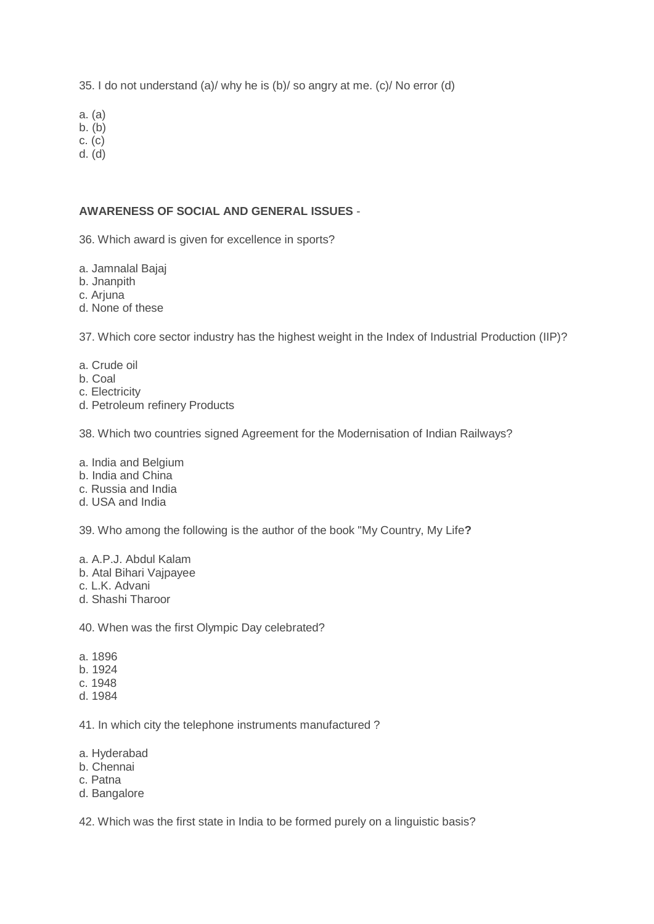35. I do not understand (a)/ why he is (b)/ so angry at me. (c)/ No error (d)

a. (a)

 $b. (b)$ 

c. (c) d. (d)

## **AWARENESS OF SOCIAL AND GENERAL ISSUES** -

36. Which award is given for excellence in sports?

a. Jamnalal Bajaj

b. Jnanpith

c. Ariuna

d. None of these

37. Which core sector industry has the highest weight in the Index of Industrial Production (IIP)?

- a. Crude oil
- b. Coal
- c. Electricity
- d. Petroleum refinery Products

38. Which two countries signed Agreement for the Modernisation of Indian Railways?

a. India and Belgium

- b. India and China
- c. Russia and India
- d. USA and India

39. Who among the following is the author of the book "My Country, My Life**?**

a. A.P.J. Abdul Kalam

- b. Atal Bihari Vajpayee
- c. L.K. Advani
- d. Shashi Tharoor

40. When was the first Olympic Day celebrated?

- a. 1896
- b. 1924
- c. 1948
- d. 1984

41. In which city the telephone instruments manufactured ?

- a. Hyderabad
- b. Chennai
- c. Patna
- d. Bangalore

42. Which was the first state in India to be formed purely on a linguistic basis?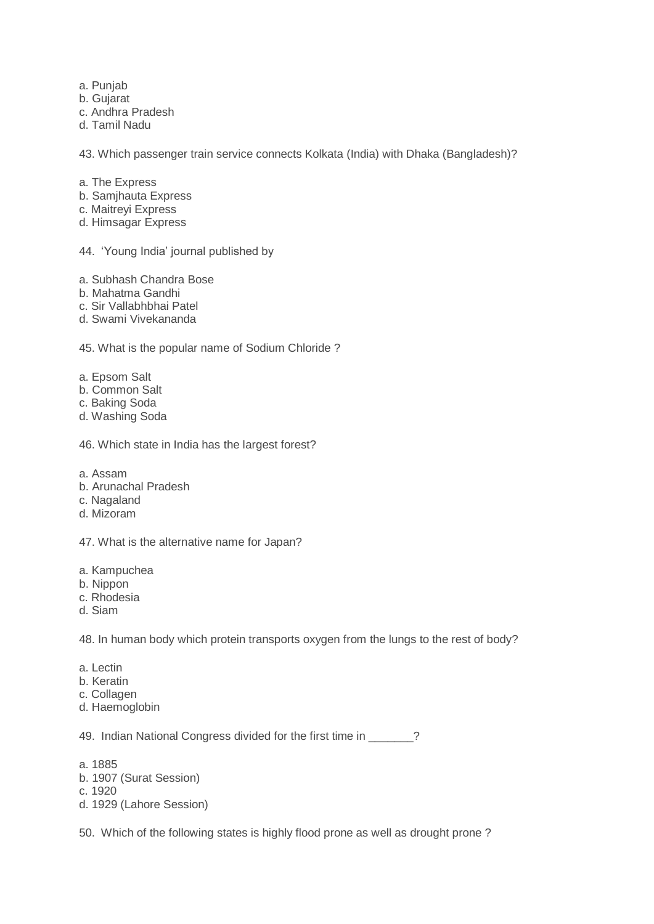- a. Punjab
- b. Gujarat
- c. Andhra Pradesh
- d. Tamil Nadu

43. Which passenger train service connects Kolkata (India) with Dhaka (Bangladesh)?

- a. The Express
- b. Samjhauta Express
- c. Maitreyi Express
- d. Himsagar Express

44. "Young India" journal published by

- a. Subhash Chandra Bose
- b. Mahatma Gandhi
- c. Sir Vallabhbhai Patel
- d. Swami Vivekananda

45. What is the popular name of Sodium Chloride ?

- a. Epsom Salt
- b. Common Salt
- c. Baking Soda
- d. Washing Soda

46. Which state in India has the largest forest?

- a. Assam
- b. Arunachal Pradesh
- c. Nagaland
- d. Mizoram

47. What is the alternative name for Japan?

- a. Kampuchea
- b. Nippon
- c. Rhodesia
- d. Siam

48. In human body which protein transports oxygen from the lungs to the rest of body?

- a. Lectin
- b. Keratin
- c. Collagen
- d. Haemoglobin

49. Indian National Congress divided for the first time in \_\_\_\_\_\_?

- a. 1885
- b. 1907 (Surat Session)
- c. 1920
- d. 1929 (Lahore Session)

50. Which of the following states is highly flood prone as well as drought prone ?